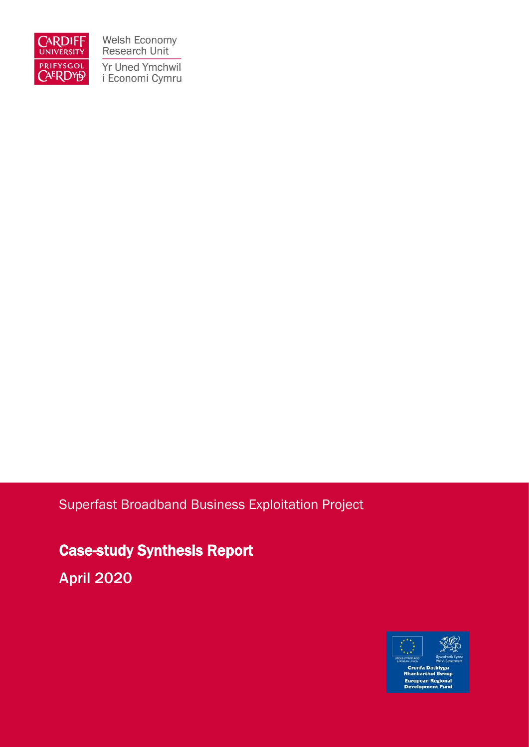

Welsh Economy<br>Research Unit Yr Uned Ymchwil i Economi Cymru

### Superfast Broadband Business Exploitation Project

Case-study Synthesis Report

April 2020

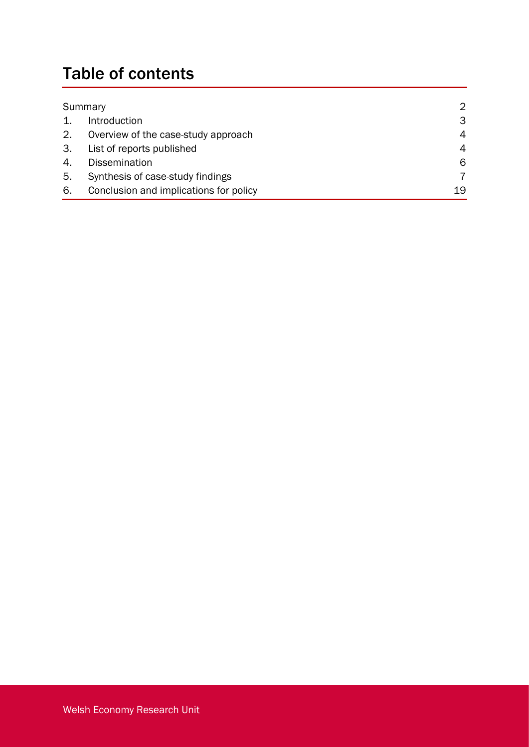# Table of contents

| Summary |                                        | $\mathcal{D}$ |
|---------|----------------------------------------|---------------|
|         | Introduction                           | 3             |
| 2.      | Overview of the case-study approach    | 4             |
| 3.      | List of reports published              | 4             |
| 4.      | <b>Dissemination</b>                   | 6             |
| 5.      | Synthesis of case-study findings       |               |
| 6.      | Conclusion and implications for policy | 19            |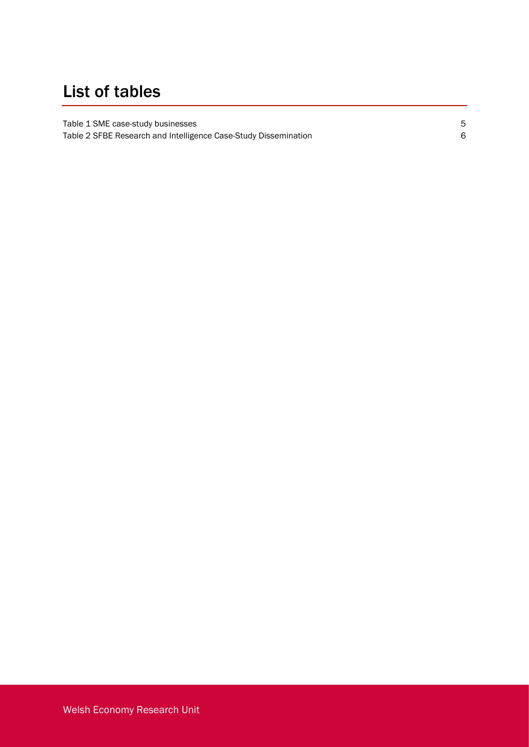## List of tables

[Table 1 SME case-study businesses](#page-6-0) 5 [Table 2 SFBE Research and Intelligence Case-Study Dissemination](#page-7-0) 6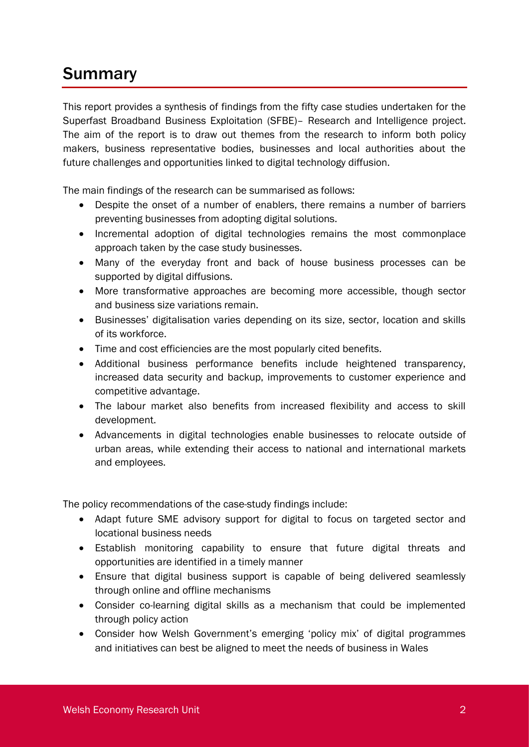## **Summary**

This report provides a synthesis of findings from the fifty case studies undertaken for the Superfast Broadband Business Exploitation (SFBE)– Research and Intelligence project. The aim of the report is to draw out themes from the research to inform both policy makers, business representative bodies, businesses and local authorities about the future challenges and opportunities linked to digital technology diffusion.

The main findings of the research can be summarised as follows:

- Despite the onset of a number of enablers, there remains a number of barriers preventing businesses from adopting digital solutions.
- Incremental adoption of digital technologies remains the most commonplace approach taken by the case study businesses.
- Many of the everyday front and back of house business processes can be supported by digital diffusions.
- More transformative approaches are becoming more accessible, though sector and business size variations remain.
- Businesses' digitalisation varies depending on its size, sector, location and skills of its workforce.
- Time and cost efficiencies are the most popularly cited benefits.
- Additional business performance benefits include heightened transparency, increased data security and backup, improvements to customer experience and competitive advantage.
- The labour market also benefits from increased flexibility and access to skill development.
- Advancements in digital technologies enable businesses to relocate outside of urban areas, while extending their access to national and international markets and employees.

The policy recommendations of the case-study findings include:

- Adapt future SME advisory support for digital to focus on targeted sector and locational business needs
- Establish monitoring capability to ensure that future digital threats and opportunities are identified in a timely manner
- Ensure that digital business support is capable of being delivered seamlessly through online and offline mechanisms
- Consider co-learning digital skills as a mechanism that could be implemented through policy action
- Consider how Welsh Government's emerging 'policy mix' of digital programmes and initiatives can best be aligned to meet the needs of business in Wales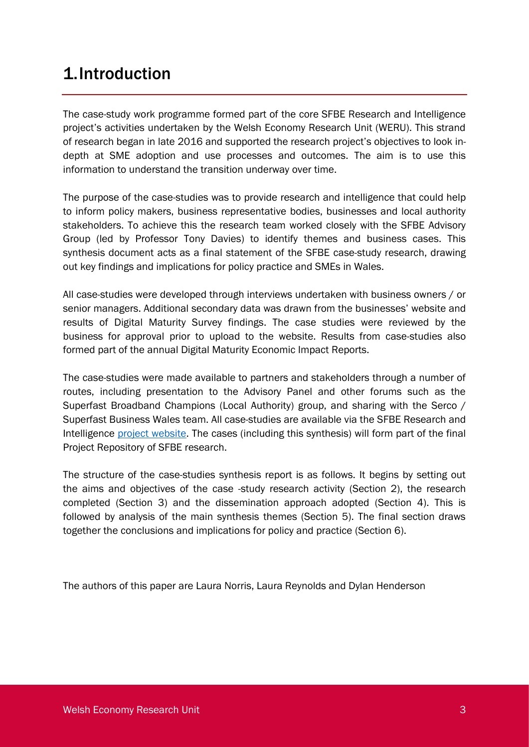### 1.Introduction

The case-study work programme formed part of the core SFBE Research and Intelligence project's activities undertaken by the Welsh Economy Research Unit (WERU). This strand of research began in late 2016 and supported the research project's objectives to look indepth at SME adoption and use processes and outcomes. The aim is to use this information to understand the transition underway over time.

The purpose of the case-studies was to provide research and intelligence that could help to inform policy makers, business representative bodies, businesses and local authority stakeholders. To achieve this the research team worked closely with the SFBE Advisory Group (led by Professor Tony Davies) to identify themes and business cases. This synthesis document acts as a final statement of the SFBE case-study research, drawing out key findings and implications for policy practice and SMEs in Wales.

All case-studies were developed through interviews undertaken with business owners / or senior managers. Additional secondary data was drawn from the businesses' website and results of Digital Maturity Survey findings. The case studies were reviewed by the business for approval prior to upload to the website. Results from case-studies also formed part of the annual Digital Maturity Economic Impact Reports.

The case-studies were made available to partners and stakeholders through a number of routes, including presentation to the Advisory Panel and other forums such as the Superfast Broadband Champions (Local Authority) group, and sharing with the Serco / Superfast Business Wales team. All case-studies are available via the SFBE Research and Intelligence [project website.](https://www.cardiff.ac.uk/superfast-broadband-project/case-studies) The cases (including this synthesis) will form part of the final Project Repository of SFBE research.

The structure of the case-studies synthesis report is as follows. It begins by setting out the aims and objectives of the case -study research activity (Section 2), the research completed (Section 3) and the dissemination approach adopted (Section 4). This is followed by analysis of the main synthesis themes (Section 5). The final section draws together the conclusions and implications for policy and practice (Section 6).

The authors of this paper are Laura Norris, Laura Reynolds and Dylan Henderson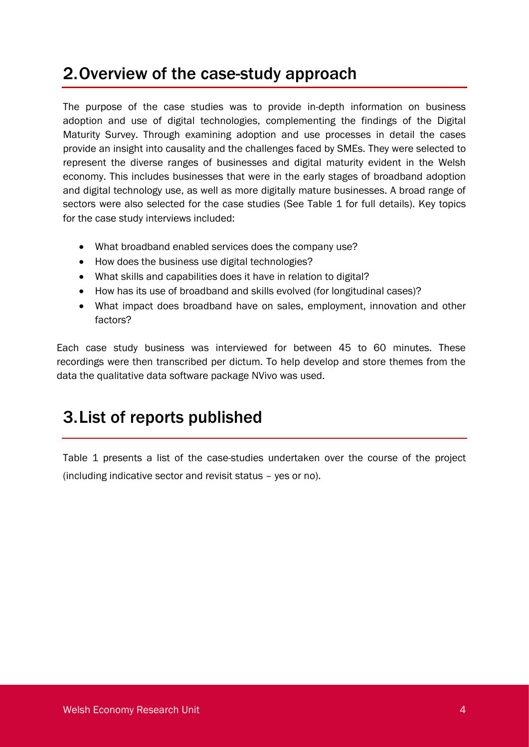## 2.Overview of the case-study approach

The purpose of the case studies was to provide in-depth information on business adoption and use of digital technologies, complementing the findings of the Digital Maturity Survey. Through examining adoption and use processes in detail the cases provide an insight into causality and the challenges faced by SMEs. They were selected to represent the diverse ranges of businesses and digital maturity evident in the Welsh economy. This includes businesses that were in the early stages of broadband adoption and digital technology use, as well as more digitally mature businesses. A broad range of sectors were also selected for the case studies (See Table 1 for full details). Key topics for the case study interviews included:

- What broadband enabled services does the company use?
- How does the business use digital technologies?
- What skills and capabilities does it have in relation to digital?
- How has its use of broadband and skills evolved (for longitudinal cases)?
- What impact does broadband have on sales, employment, innovation and other factors?

Each case study business was interviewed for between 45 to 60 minutes. These recordings were then transcribed per dictum. To help develop and store themes from the data the qualitative data software package NVivo was used.

## 3.List of reports published

Table 1 presents a list of the case-studies undertaken over the course of the project (including indicative sector and revisit status – yes or no).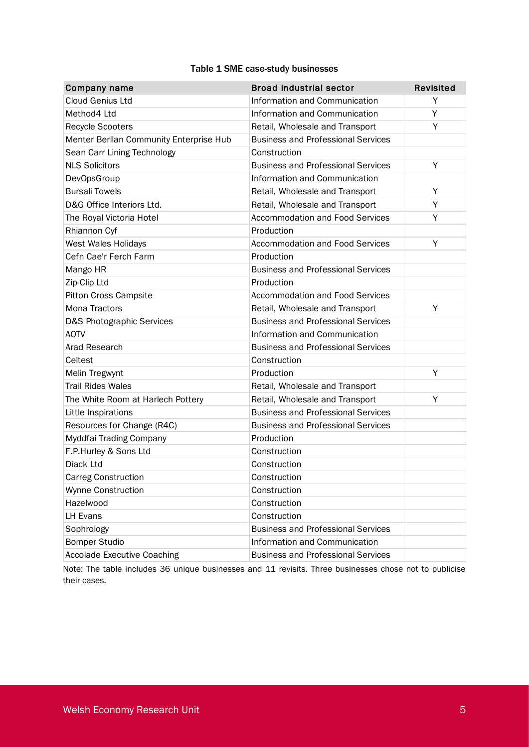#### Table 1 SME case-study businesses

<span id="page-6-0"></span>

| Company name                            | <b>Broad industrial sector</b>            | Revisited |
|-----------------------------------------|-------------------------------------------|-----------|
| <b>Cloud Genius Ltd</b>                 | Information and Communication             | Y         |
| Method4 Ltd                             | Information and Communication             | Υ         |
| <b>Recycle Scooters</b>                 | Retail, Wholesale and Transport           | Y         |
| Menter Berllan Community Enterprise Hub | <b>Business and Professional Services</b> |           |
| Sean Carr Lining Technology             | Construction                              |           |
| <b>NLS Solicitors</b>                   | <b>Business and Professional Services</b> | Y         |
| <b>DevOpsGroup</b>                      | Information and Communication             |           |
| <b>Bursali Towels</b>                   | Retail, Wholesale and Transport           | Y         |
| D&G Office Interiors Ltd.               | Retail, Wholesale and Transport           | Y         |
| The Royal Victoria Hotel                | <b>Accommodation and Food Services</b>    | Y         |
| Rhiannon Cyf                            | Production                                |           |
| West Wales Holidays                     | <b>Accommodation and Food Services</b>    | Y         |
| Cefn Cae'r Ferch Farm                   | Production                                |           |
| Mango HR                                | <b>Business and Professional Services</b> |           |
| Zip-Clip Ltd                            | Production                                |           |
| <b>Pitton Cross Campsite</b>            | <b>Accommodation and Food Services</b>    |           |
| Mona Tractors                           | Retail, Wholesale and Transport           | Y         |
| D&S Photographic Services               | <b>Business and Professional Services</b> |           |
| <b>AOTV</b>                             | Information and Communication             |           |
| Arad Research                           | <b>Business and Professional Services</b> |           |
| Celtest                                 | Construction                              |           |
| Melin Tregwynt                          | Production                                | Y         |
| <b>Trail Rides Wales</b>                | Retail, Wholesale and Transport           |           |
| The White Room at Harlech Pottery       | Retail, Wholesale and Transport           | Y         |
| Little Inspirations                     | <b>Business and Professional Services</b> |           |
| Resources for Change (R4C)              | <b>Business and Professional Services</b> |           |
| Myddfai Trading Company                 | Production                                |           |
| F.P.Hurley & Sons Ltd                   | Construction                              |           |
| Diack Ltd                               | Construction                              |           |
| <b>Carreg Construction</b>              | Construction                              |           |
| Wynne Construction                      | Construction                              |           |
| Hazelwood                               | Construction                              |           |
| <b>LH Evans</b>                         | Construction                              |           |
| Sophrology                              | <b>Business and Professional Services</b> |           |
| <b>Bomper Studio</b>                    | Information and Communication             |           |
| <b>Accolade Executive Coaching</b>      | <b>Business and Professional Services</b> |           |

Note: The table includes 36 unique businesses and 11 revisits. Three businesses chose not to publicise their cases.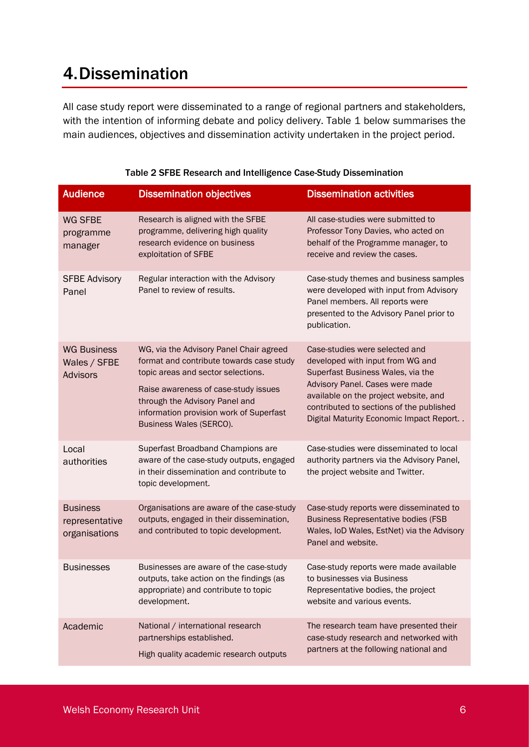## 4.Dissemination

All case study report were disseminated to a range of regional partners and stakeholders, with the intention of informing debate and policy delivery. Table 1 below summarises the main audiences, objectives and dissemination activity undertaken in the project period.

<span id="page-7-0"></span>

| <b>Audience</b>                                       | <b>Dissemination objectives</b>                                                                                                                                                                                                                                           | <b>Dissemination activities</b>                                                                                                                                                                                                                                            |
|-------------------------------------------------------|---------------------------------------------------------------------------------------------------------------------------------------------------------------------------------------------------------------------------------------------------------------------------|----------------------------------------------------------------------------------------------------------------------------------------------------------------------------------------------------------------------------------------------------------------------------|
| <b>WG SFBE</b><br>programme<br>manager                | Research is aligned with the SFBE<br>programme, delivering high quality<br>research evidence on business<br>exploitation of SFBE                                                                                                                                          | All case-studies were submitted to<br>Professor Tony Davies, who acted on<br>behalf of the Programme manager, to<br>receive and review the cases.                                                                                                                          |
| <b>SFBE Advisory</b><br>Panel                         | Regular interaction with the Advisory<br>Panel to review of results.                                                                                                                                                                                                      | Case-study themes and business samples<br>were developed with input from Advisory<br>Panel members. All reports were<br>presented to the Advisory Panel prior to<br>publication.                                                                                           |
| <b>WG Business</b><br>Wales / SFBE<br><b>Advisors</b> | WG, via the Advisory Panel Chair agreed<br>format and contribute towards case study<br>topic areas and sector selections.<br>Raise awareness of case-study issues<br>through the Advisory Panel and<br>information provision work of Superfast<br>Business Wales (SERCO). | Case-studies were selected and<br>developed with input from WG and<br>Superfast Business Wales, via the<br>Advisory Panel. Cases were made<br>available on the project website, and<br>contributed to sections of the published<br>Digital Maturity Economic Impact Report |
| Local<br>authorities                                  | Superfast Broadband Champions are<br>aware of the case-study outputs, engaged<br>in their dissemination and contribute to<br>topic development.                                                                                                                           | Case-studies were disseminated to local<br>authority partners via the Advisory Panel,<br>the project website and Twitter.                                                                                                                                                  |
| <b>Business</b><br>representative<br>organisations    | Organisations are aware of the case-study<br>outputs, engaged in their dissemination,<br>and contributed to topic development.                                                                                                                                            | Case-study reports were disseminated to<br><b>Business Representative bodies (FSB</b><br>Wales, IoD Wales, EstNet) via the Advisory<br>Panel and website.                                                                                                                  |
| <b>Businesses</b>                                     | Businesses are aware of the case-study<br>outputs, take action on the findings (as<br>appropriate) and contribute to topic<br>development.                                                                                                                                | Case-study reports were made available<br>to businesses via Business<br>Representative bodies, the project<br>website and various events.                                                                                                                                  |
| Academic                                              | National / international research<br>partnerships established.<br>High quality academic research outputs                                                                                                                                                                  | The research team have presented their<br>case-study research and networked with<br>partners at the following national and                                                                                                                                                 |

|  |  | Table 2 SFBE Research and Intelligence Case-Study Dissemination |
|--|--|-----------------------------------------------------------------|
|  |  |                                                                 |
|  |  |                                                                 |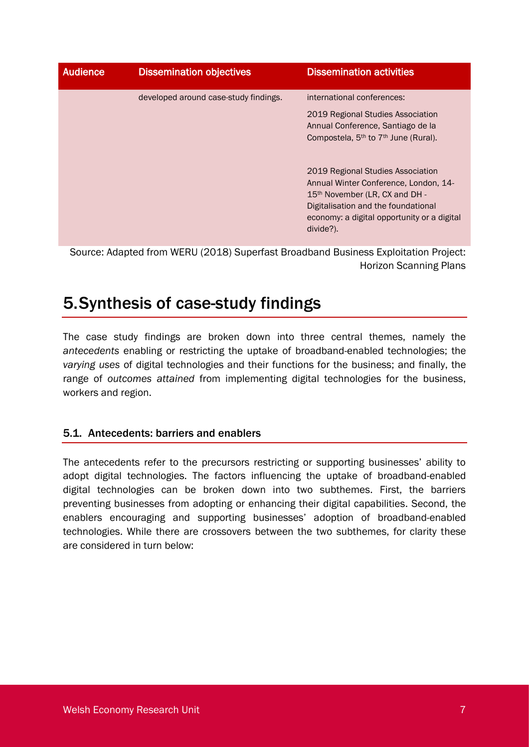| <b>Audience</b> | <b>Dissemination objectives</b>       | <b>Dissemination activities</b>                                                                                                                                                                                                                                                                                                                                                                     |
|-----------------|---------------------------------------|-----------------------------------------------------------------------------------------------------------------------------------------------------------------------------------------------------------------------------------------------------------------------------------------------------------------------------------------------------------------------------------------------------|
|                 | developed around case-study findings. | international conferences:<br>2019 Regional Studies Association<br>Annual Conference, Santiago de la<br>Compostela, 5 <sup>th</sup> to 7 <sup>th</sup> June (Rural).<br>2019 Regional Studies Association<br>Annual Winter Conference, London, 14-<br>15 <sup>th</sup> November (LR, CX and DH -<br>Digitalisation and the foundational<br>economy: a digital opportunity or a digital<br>divide?). |

Source: Adapted from WERU (2018) Superfast Broadband Business Exploitation Project: Horizon Scanning Plans

## 5.Synthesis of case-study findings

The case study findings are broken down into three central themes, namely the *antecedents* enabling or restricting the uptake of broadband-enabled technologies; the *varying uses* of digital technologies and their functions for the business; and finally, the range of *outcomes attained* from implementing digital technologies for the business, workers and region.

### 5.1. Antecedents: barriers and enablers

The antecedents refer to the precursors restricting or supporting businesses' ability to adopt digital technologies. The factors influencing the uptake of broadband-enabled digital technologies can be broken down into two subthemes. First, the barriers preventing businesses from adopting or enhancing their digital capabilities. Second, the enablers encouraging and supporting businesses' adoption of broadband-enabled technologies. While there are crossovers between the two subthemes, for clarity these are considered in turn below: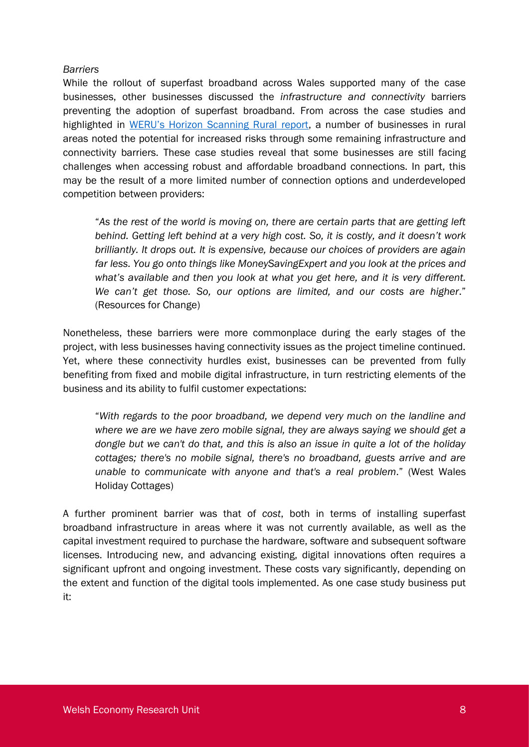#### *Barriers*

While the rollout of superfast broadband across Wales supported many of the case businesses, other businesses discussed the *infrastructure and connectivity* barriers preventing the adoption of superfast broadband. From across the case studies and highlighted in [WERU's Horizon Scanning Rural report](https://www.cardiff.ac.uk/__data/assets/pdf_file/0008/1438802/Horizon-scanning_rural-opportunities-03.pdf), a number of businesses in rural areas noted the potential for increased risks through some remaining infrastructure and connectivity barriers. These case studies reveal that some businesses are still facing challenges when accessing robust and affordable broadband connections. In part, this may be the result of a more limited number of connection options and underdeveloped competition between providers:

"*As the rest of the world is moving on, there are certain parts that are getting left behind. Getting left behind at a very high cost. So, it is costly, and it doesn't work brilliantly. It drops out. It is expensive, because our choices of providers are again far less. You go onto things like MoneySavingExpert and you look at the prices and what's available and then you look at what you get here, and it is very different. We can't get those. So, our options are limited, and our costs are higher*." (Resources for Change)

Nonetheless, these barriers were more commonplace during the early stages of the project, with less businesses having connectivity issues as the project timeline continued. Yet, where these connectivity hurdles exist, businesses can be prevented from fully benefiting from fixed and mobile digital infrastructure, in turn restricting elements of the business and its ability to fulfil customer expectations:

"*With regards to the poor broadband, we depend very much on the landline and where we are we have zero mobile signal, they are always saying we should get a dongle but we can't do that, and this is also an issue in quite a lot of the holiday cottages; there's no mobile signal, there's no broadband, guests arrive and are unable to communicate with anyone and that's a real problem*." (West Wales Holiday Cottages)

A further prominent barrier was that of *cost*, both in terms of installing superfast broadband infrastructure in areas where it was not currently available, as well as the capital investment required to purchase the hardware, software and subsequent software licenses. Introducing new, and advancing existing, digital innovations often requires a significant upfront and ongoing investment. These costs vary significantly, depending on the extent and function of the digital tools implemented. As one case study business put it: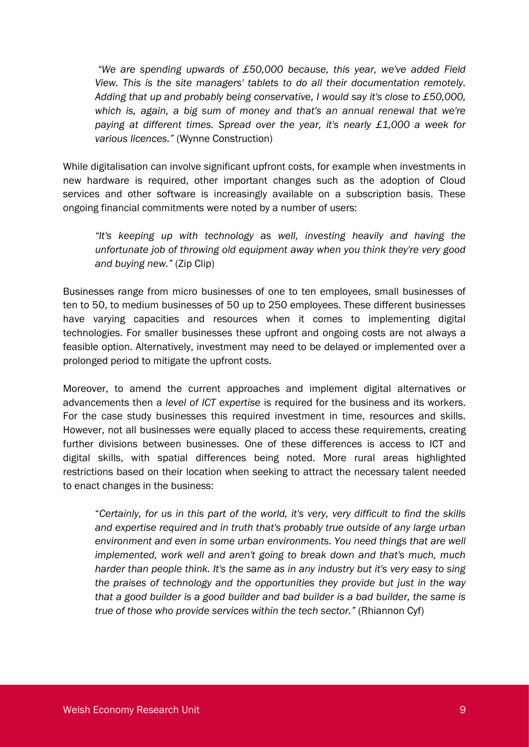*"We are spending upwards of £50,000 because, this year, we've added Field View. This is the site managers' tablets to do all their documentation remotely. Adding that up and probably being conservative, I would say it's close to £50,000, which is, again, a big sum of money and that's an annual renewal that we're paying at different times. Spread over the year, it's nearly £1,000 a week for various licences."* (Wynne Construction)

While digitalisation can involve significant upfront costs, for example when investments in new hardware is required, other important changes such as the adoption of Cloud services and other software is increasingly available on a subscription basis. These ongoing financial commitments were noted by a number of users:

*"It's keeping up with technology as well, investing heavily and having the unfortunate job of throwing old equipment away when you think they're very good and buying new."* (Zip Clip)

Businesses range from micro businesses of one to ten employees, small businesses of ten to 50, to medium businesses of 50 up to 250 employees. These different businesses have varying capacities and resources when it comes to implementing digital technologies. For smaller businesses these upfront and ongoing costs are not always a feasible option. Alternatively, investment may need to be delayed or implemented over a prolonged period to mitigate the upfront costs.

Moreover, to amend the current approaches and implement digital alternatives or advancements then a *level of ICT expertise* is required for the business and its workers. For the case study businesses this required investment in time, resources and skills. However, not all businesses were equally placed to access these requirements, creating further divisions between businesses. One of these differences is access to ICT and digital skills, with spatial differences being noted. More rural areas highlighted restrictions based on their location when seeking to attract the necessary talent needed to enact changes in the business:

"*Certainly, for us in this part of the world, it's very, very difficult to find the skills and expertise required and in truth that's probably true outside of any large urban environment and even in some urban environments. You need things that are well implemented, work well and aren't going to break down and that's much, much harder than people think. It's the same as in any industry but it's very easy to sing the praises of technology and the opportunities they provide but just in the way that a good builder is a good builder and bad builder is a bad builder, the same is true of those who provide services within the tech sector."* (Rhiannon Cyf)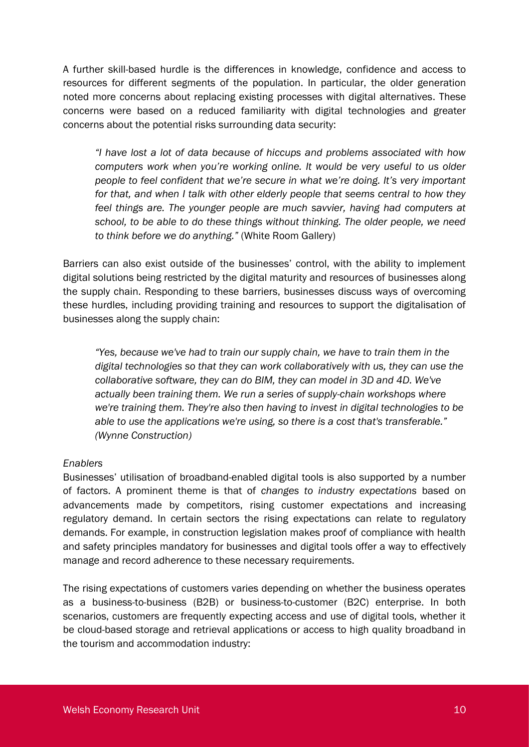A further skill-based hurdle is the differences in knowledge, confidence and access to resources for different segments of the population. In particular, the older generation noted more concerns about replacing existing processes with digital alternatives. These concerns were based on a reduced familiarity with digital technologies and greater concerns about the potential risks surrounding data security:

*"I have lost a lot of data because of hiccups and problems associated with how computers work when you're working online. It would be very useful to us older people to feel confident that we're secure in what we're doing. It's very important for that, and when I talk with other elderly people that seems central to how they feel things are. The younger people are much savvier, having had computers at school, to be able to do these things without thinking. The older people, we need to think before we do anything."* (White Room Gallery)

Barriers can also exist outside of the businesses' control, with the ability to implement digital solutions being restricted by the digital maturity and resources of businesses along the supply chain. Responding to these barriers, businesses discuss ways of overcoming these hurdles, including providing training and resources to support the digitalisation of businesses along the supply chain:

*"Yes, because we've had to train our supply chain, we have to train them in the digital technologies so that they can work collaboratively with us, they can use the collaborative software, they can do BIM, they can model in 3D and 4D. We've actually been training them. We run a series of supply-chain workshops where we're training them. They're also then having to invest in digital technologies to be able to use the applications we're using, so there is a cost that's transferable." (Wynne Construction)*

#### *Enablers*

Businesses' utilisation of broadband-enabled digital tools is also supported by a number of factors. A prominent theme is that of *changes to industry expectations* based on advancements made by competitors, rising customer expectations and increasing regulatory demand. In certain sectors the rising expectations can relate to regulatory demands. For example, in construction legislation makes proof of compliance with health and safety principles mandatory for businesses and digital tools offer a way to effectively manage and record adherence to these necessary requirements.

The rising expectations of customers varies depending on whether the business operates as a business-to-business (B2B) or business-to-customer (B2C) enterprise. In both scenarios, customers are frequently expecting access and use of digital tools, whether it be cloud-based storage and retrieval applications or access to high quality broadband in the tourism and accommodation industry: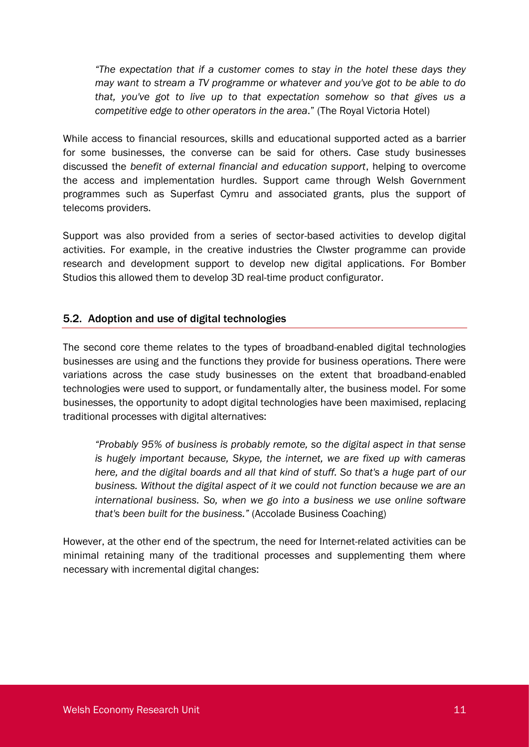*"The expectation that if a customer comes to stay in the hotel these days they may want to stream a TV programme or whatever and you've got to be able to do that, you've got to live up to that expectation somehow so that gives us a competitive edge to other operators in the area*." (The Royal Victoria Hotel)

While access to financial resources, skills and educational supported acted as a barrier for some businesses, the converse can be said for others. Case study businesses discussed the *benefit of external financial and education support*, helping to overcome the access and implementation hurdles. Support came through Welsh Government programmes such as Superfast Cymru and associated grants, plus the support of telecoms providers.

Support was also provided from a series of sector-based activities to develop digital activities. For example, in the creative industries the Clwster programme can provide research and development support to develop new digital applications. For Bomber Studios this allowed them to develop 3D real-time product configurator.

### 5.2. Adoption and use of digital technologies

The second core theme relates to the types of broadband-enabled digital technologies businesses are using and the functions they provide for business operations. There were variations across the case study businesses on the extent that broadband-enabled technologies were used to support, or fundamentally alter, the business model. For some businesses, the opportunity to adopt digital technologies have been maximised, replacing traditional processes with digital alternatives:

*"Probably 95% of business is probably remote, so the digital aspect in that sense is hugely important because, Skype, the internet, we are fixed up with cameras here, and the digital boards and all that kind of stuff. So that's a huge part of our business. Without the digital aspect of it we could not function because we are an international business. So, when we go into a business we use online software that's been built for the business."* (Accolade Business Coaching)

However, at the other end of the spectrum, the need for Internet-related activities can be minimal retaining many of the traditional processes and supplementing them where necessary with incremental digital changes: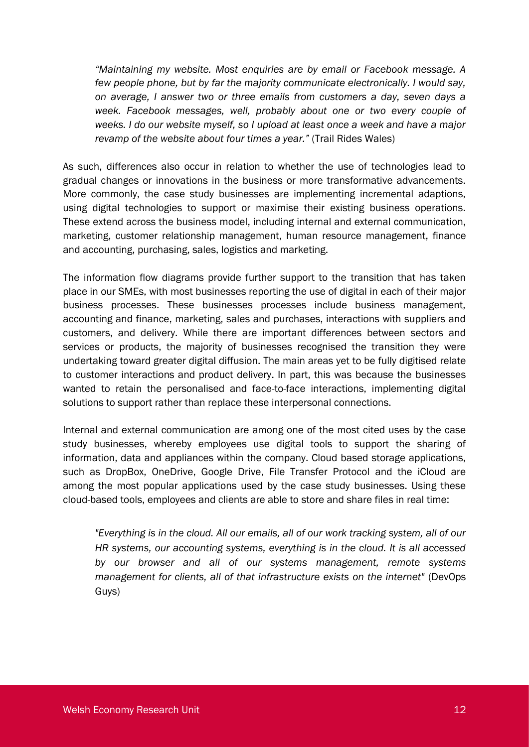*"Maintaining my website. Most enquiries are by email or Facebook message. A few people phone, but by far the majority communicate electronically. I would say, on average, I answer two or three emails from customers a day, seven days a*  week. Facebook messages, well, probably about one or two every couple of *weeks. I do our website myself, so I upload at least once a week and have a major revamp of the website about four times a year."* (Trail Rides Wales)

As such, differences also occur in relation to whether the use of technologies lead to gradual changes or innovations in the business or more transformative advancements. More commonly, the case study businesses are implementing incremental adaptions, using digital technologies to support or maximise their existing business operations. These extend across the business model, including internal and external communication, marketing, customer relationship management, human resource management, finance and accounting, purchasing, sales, logistics and marketing.

The information flow diagrams provide further support to the transition that has taken place in our SMEs, with most businesses reporting the use of digital in each of their major business processes. These businesses processes include business management, accounting and finance, marketing, sales and purchases, interactions with suppliers and customers, and delivery. While there are important differences between sectors and services or products, the majority of businesses recognised the transition they were undertaking toward greater digital diffusion. The main areas yet to be fully digitised relate to customer interactions and product delivery. In part, this was because the businesses wanted to retain the personalised and face-to-face interactions, implementing digital solutions to support rather than replace these interpersonal connections.

Internal and external communication are among one of the most cited uses by the case study businesses, whereby employees use digital tools to support the sharing of information, data and appliances within the company. Cloud based storage applications, such as DropBox, OneDrive, Google Drive, File Transfer Protocol and the iCloud are among the most popular applications used by the case study businesses. Using these cloud-based tools, employees and clients are able to store and share files in real time:

*"Everything is in the cloud. All our emails, all of our work tracking system, all of our HR systems, our accounting systems, everything is in the cloud. It is all accessed by our browser and all of our systems management, remote systems management for clients, all of that infrastructure exists on the internet"* (DevOps Guys)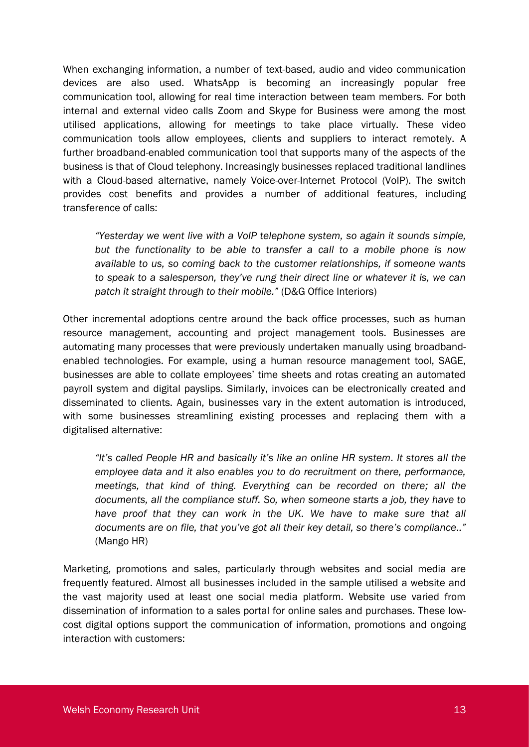When exchanging information, a number of text-based, audio and video communication devices are also used. WhatsApp is becoming an increasingly popular free communication tool, allowing for real time interaction between team members. For both internal and external video calls Zoom and Skype for Business were among the most utilised applications, allowing for meetings to take place virtually. These video communication tools allow employees, clients and suppliers to interact remotely. A further broadband-enabled communication tool that supports many of the aspects of the business is that of Cloud telephony. Increasingly businesses replaced traditional landlines with a Cloud-based alternative, namely Voice-over-Internet Protocol (VoIP). The switch provides cost benefits and provides a number of additional features, including transference of calls:

*"Yesterday we went live with a VoIP telephone system, so again it sounds simple, but the functionality to be able to transfer a call to a mobile phone is now available to us, so coming back to the customer relationships, if someone wants to speak to a salesperson, they've rung their direct line or whatever it is, we can patch it straight through to their mobile."* (D&G Office Interiors)

Other incremental adoptions centre around the back office processes, such as human resource management, accounting and project management tools. Businesses are automating many processes that were previously undertaken manually using broadbandenabled technologies. For example, using a human resource management tool, SAGE, businesses are able to collate employees' time sheets and rotas creating an automated payroll system and digital payslips. Similarly, invoices can be electronically created and disseminated to clients. Again, businesses vary in the extent automation is introduced, with some businesses streamlining existing processes and replacing them with a digitalised alternative:

*"It's called People HR and basically it's like an online HR system. It stores all the employee data and it also enables you to do recruitment on there, performance, meetings, that kind of thing. Everything can be recorded on there; all the documents, all the compliance stuff. So, when someone starts a job, they have to have proof that they can work in the UK. We have to make sure that all documents are on file, that you've got all their key detail, so there's compliance.."* (Mango HR)

Marketing, promotions and sales, particularly through websites and social media are frequently featured. Almost all businesses included in the sample utilised a website and the vast majority used at least one social media platform. Website use varied from dissemination of information to a sales portal for online sales and purchases. These lowcost digital options support the communication of information, promotions and ongoing interaction with customers: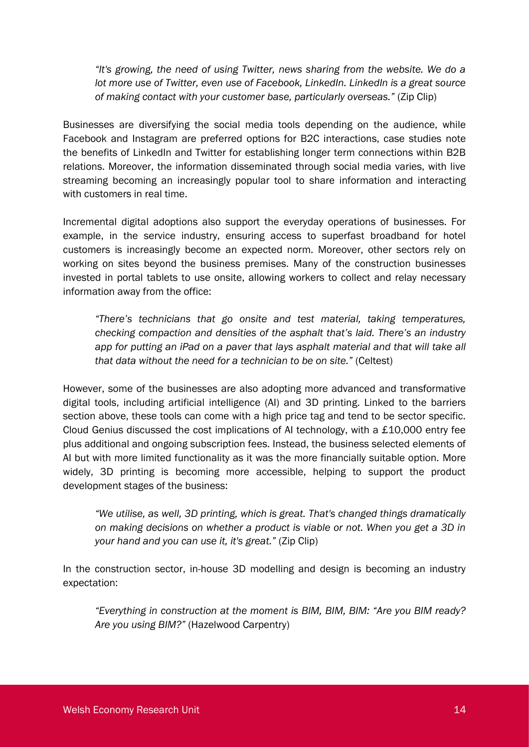*"It's growing, the need of using Twitter, news sharing from the website. We do a lot more use of Twitter, even use of Facebook, LinkedIn. LinkedIn is a great source of making contact with your customer base, particularly overseas."* (Zip Clip)

Businesses are diversifying the social media tools depending on the audience, while Facebook and Instagram are preferred options for B2C interactions, case studies note the benefits of LinkedIn and Twitter for establishing longer term connections within B2B relations. Moreover, the information disseminated through social media varies, with live streaming becoming an increasingly popular tool to share information and interacting with customers in real time.

Incremental digital adoptions also support the everyday operations of businesses. For example, in the service industry, ensuring access to superfast broadband for hotel customers is increasingly become an expected norm. Moreover, other sectors rely on working on sites beyond the business premises. Many of the construction businesses invested in portal tablets to use onsite, allowing workers to collect and relay necessary information away from the office:

*"There's technicians that go onsite and test material, taking temperatures, checking compaction and densities of the asphalt that's laid. There's an industry*  app for putting an iPad on a paver that lays asphalt material and that will take all *that data without the need for a technician to be on site."* (Celtest)

However, some of the businesses are also adopting more advanced and transformative digital tools, including artificial intelligence (AI) and 3D printing. Linked to the barriers section above, these tools can come with a high price tag and tend to be sector specific. Cloud Genius discussed the cost implications of AI technology, with a £10,000 entry fee plus additional and ongoing subscription fees. Instead, the business selected elements of AI but with more limited functionality as it was the more financially suitable option. More widely, 3D printing is becoming more accessible, helping to support the product development stages of the business:

*"We utilise, as well, 3D printing, which is great. That's changed things dramatically on making decisions on whether a product is viable or not. When you get a 3D in your hand and you can use it, it's great."* (Zip Clip)

In the construction sector, in-house 3D modelling and design is becoming an industry expectation:

*"Everything in construction at the moment is BIM, BIM, BIM: "Are you BIM ready? Are you using BIM?"* (Hazelwood Carpentry)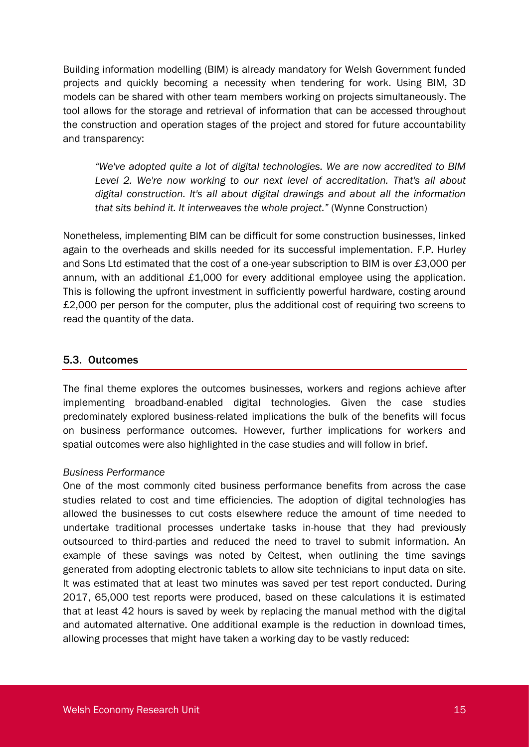Building information modelling (BIM) is already mandatory for Welsh Government funded projects and quickly becoming a necessity when tendering for work. Using BIM, 3D models can be shared with other team members working on projects simultaneously. The tool allows for the storage and retrieval of information that can be accessed throughout the construction and operation stages of the project and stored for future accountability and transparency:

*"We've adopted quite a lot of digital technologies. We are now accredited to BIM Level 2. We're now working to our next level of accreditation. That's all about digital construction. It's all about digital drawings and about all the information that sits behind it. It interweaves the whole project."* (Wynne Construction)

Nonetheless, implementing BIM can be difficult for some construction businesses, linked again to the overheads and skills needed for its successful implementation. F.P. Hurley and Sons Ltd estimated that the cost of a one-year subscription to BIM is over £3,000 per annum, with an additional £1,000 for every additional employee using the application. This is following the upfront investment in sufficiently powerful hardware, costing around £2,000 per person for the computer, plus the additional cost of requiring two screens to read the quantity of the data.

### 5.3. Outcomes

The final theme explores the outcomes businesses, workers and regions achieve after implementing broadband-enabled digital technologies. Given the case studies predominately explored business-related implications the bulk of the benefits will focus on business performance outcomes. However, further implications for workers and spatial outcomes were also highlighted in the case studies and will follow in brief.

#### *Business Performance*

One of the most commonly cited business performance benefits from across the case studies related to cost and time efficiencies. The adoption of digital technologies has allowed the businesses to cut costs elsewhere reduce the amount of time needed to undertake traditional processes undertake tasks in-house that they had previously outsourced to third-parties and reduced the need to travel to submit information. An example of these savings was noted by Celtest, when outlining the time savings generated from adopting electronic tablets to allow site technicians to input data on site. It was estimated that at least two minutes was saved per test report conducted. During 2017, 65,000 test reports were produced, based on these calculations it is estimated that at least 42 hours is saved by week by replacing the manual method with the digital and automated alternative. One additional example is the reduction in download times, allowing processes that might have taken a working day to be vastly reduced: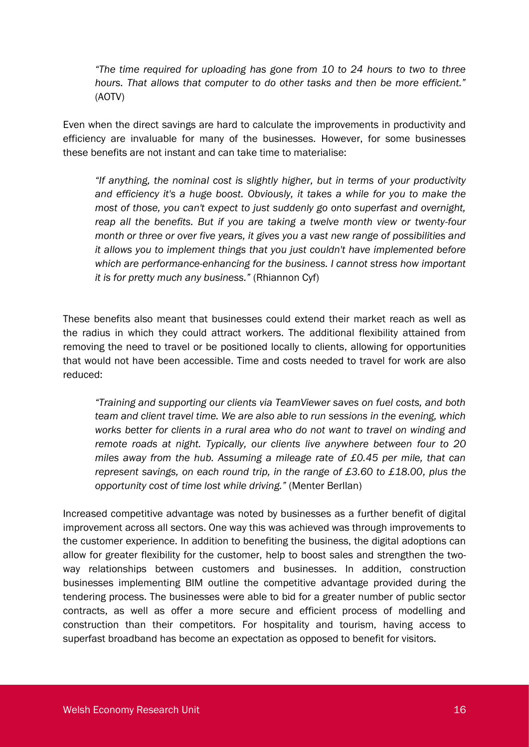*"The time required for uploading has gone from 10 to 24 hours to two to three hours. That allows that computer to do other tasks and then be more efficient."* (AOTV)

Even when the direct savings are hard to calculate the improvements in productivity and efficiency are invaluable for many of the businesses. However, for some businesses these benefits are not instant and can take time to materialise:

*"If anything, the nominal cost is slightly higher, but in terms of your productivity and efficiency it's a huge boost. Obviously, it takes a while for you to make the most of those, you can't expect to just suddenly go onto superfast and overnight, reap all the benefits. But if you are taking a twelve month view or twenty-four month or three or over five years, it gives you a vast new range of possibilities and it allows you to implement things that you just couldn't have implemented before which are performance-enhancing for the business. I cannot stress how important it is for pretty much any business."* (Rhiannon Cyf)

These benefits also meant that businesses could extend their market reach as well as the radius in which they could attract workers. The additional flexibility attained from removing the need to travel or be positioned locally to clients, allowing for opportunities that would not have been accessible. Time and costs needed to travel for work are also reduced:

*"Training and supporting our clients via TeamViewer saves on fuel costs, and both team and client travel time. We are also able to run sessions in the evening, which works better for clients in a rural area who do not want to travel on winding and remote roads at night. Typically, our clients live anywhere between four to 20 miles away from the hub. Assuming a mileage rate of £0.45 per mile, that can represent savings, on each round trip, in the range of £3.60 to £18.00, plus the opportunity cost of time lost while driving."* (Menter Berllan)

Increased competitive advantage was noted by businesses as a further benefit of digital improvement across all sectors. One way this was achieved was through improvements to the customer experience. In addition to benefiting the business, the digital adoptions can allow for greater flexibility for the customer, help to boost sales and strengthen the twoway relationships between customers and businesses. In addition, construction businesses implementing BIM outline the competitive advantage provided during the tendering process. The businesses were able to bid for a greater number of public sector contracts, as well as offer a more secure and efficient process of modelling and construction than their competitors. For hospitality and tourism, having access to superfast broadband has become an expectation as opposed to benefit for visitors.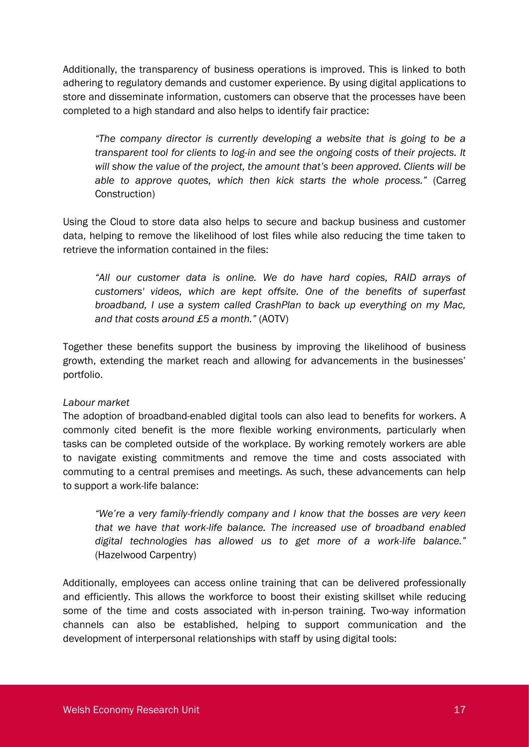Additionally, the transparency of business operations is improved. This is linked to both adhering to regulatory demands and customer experience. By using digital applications to store and disseminate information, customers can observe that the processes have been completed to a high standard and also helps to identify fair practice:

*"The company director is currently developing a website that is going to be a transparent tool for clients to log-in and see the ongoing costs of their projects. It will show the value of the project, the amount that's been approved. Clients will be able to approve quotes, which then kick starts the whole process."* (Carreg Construction)

Using the Cloud to store data also helps to secure and backup business and customer data, helping to remove the likelihood of lost files while also reducing the time taken to retrieve the information contained in the files:

*"All our customer data is online. We do have hard copies, RAID arrays of customers' videos, which are kept offsite. One of the benefits of superfast broadband, I use a system called CrashPlan to back up everything on my Mac, and that costs around £5 a month."* (AOTV)

Together these benefits support the business by improving the likelihood of business growth, extending the market reach and allowing for advancements in the businesses' portfolio.

#### *Labour market*

The adoption of broadband-enabled digital tools can also lead to benefits for workers. A commonly cited benefit is the more flexible working environments, particularly when tasks can be completed outside of the workplace. By working remotely workers are able to navigate existing commitments and remove the time and costs associated with commuting to a central premises and meetings. As such, these advancements can help to support a work-life balance:

*"We're a very family-friendly company and I know that the bosses are very keen that we have that work-life balance. The increased use of broadband enabled digital technologies has allowed us to get more of a work-life balance."* (Hazelwood Carpentry)

Additionally, employees can access online training that can be delivered professionally and efficiently. This allows the workforce to boost their existing skillset while reducing some of the time and costs associated with in-person training. Two-way information channels can also be established, helping to support communication and the development of interpersonal relationships with staff by using digital tools: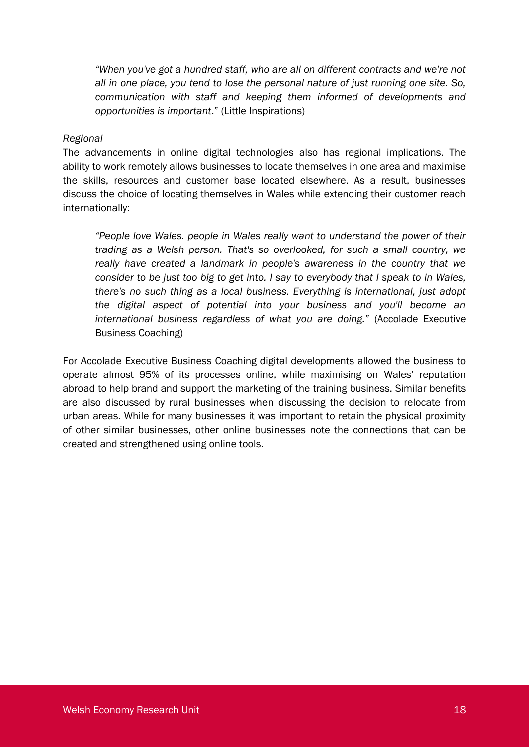*"When you've got a hundred staff, who are all on different contracts and we're not all in one place, you tend to lose the personal nature of just running one site. So, communication with staff and keeping them informed of developments and opportunities is important*." (Little Inspirations)

#### *Regional*

The advancements in online digital technologies also has regional implications. The ability to work remotely allows businesses to locate themselves in one area and maximise the skills, resources and customer base located elsewhere. As a result, businesses discuss the choice of locating themselves in Wales while extending their customer reach internationally:

*"People love Wales. people in Wales really want to understand the power of their trading as a Welsh person. That's so overlooked, for such a small country, we really have created a landmark in people's awareness in the country that we consider to be just too big to get into. I say to everybody that I speak to in Wales, there's no such thing as a local business. Everything is international, just adopt the digital aspect of potential into your business and you'll become an international business regardless of what you are doing."* (Accolade Executive Business Coaching)

For Accolade Executive Business Coaching digital developments allowed the business to operate almost 95% of its processes online, while maximising on Wales' reputation abroad to help brand and support the marketing of the training business. Similar benefits are also discussed by rural businesses when discussing the decision to relocate from urban areas. While for many businesses it was important to retain the physical proximity of other similar businesses, other online businesses note the connections that can be created and strengthened using online tools.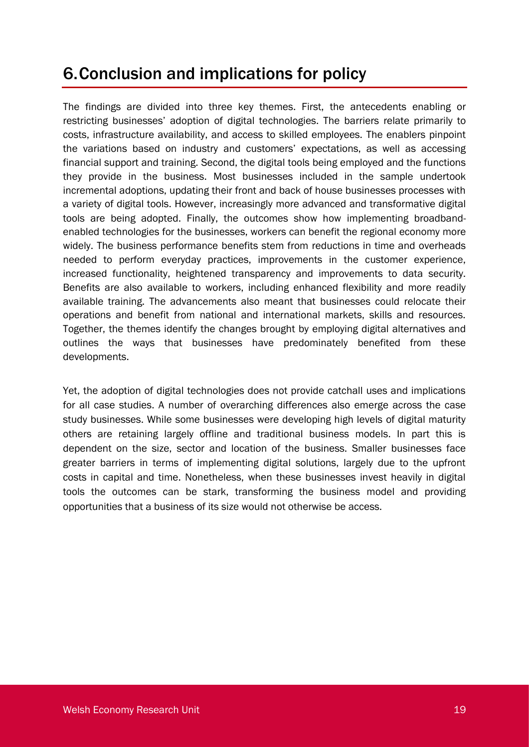## 6.Conclusion and implications for policy

The findings are divided into three key themes. First, the antecedents enabling or restricting businesses' adoption of digital technologies. The barriers relate primarily to costs, infrastructure availability, and access to skilled employees. The enablers pinpoint the variations based on industry and customers' expectations, as well as accessing financial support and training. Second, the digital tools being employed and the functions they provide in the business. Most businesses included in the sample undertook incremental adoptions, updating their front and back of house businesses processes with a variety of digital tools. However, increasingly more advanced and transformative digital tools are being adopted. Finally, the outcomes show how implementing broadbandenabled technologies for the businesses, workers can benefit the regional economy more widely. The business performance benefits stem from reductions in time and overheads needed to perform everyday practices, improvements in the customer experience, increased functionality, heightened transparency and improvements to data security. Benefits are also available to workers, including enhanced flexibility and more readily available training. The advancements also meant that businesses could relocate their operations and benefit from national and international markets, skills and resources. Together, the themes identify the changes brought by employing digital alternatives and outlines the ways that businesses have predominately benefited from these developments.

Yet, the adoption of digital technologies does not provide catchall uses and implications for all case studies. A number of overarching differences also emerge across the case study businesses. While some businesses were developing high levels of digital maturity others are retaining largely offline and traditional business models. In part this is dependent on the size, sector and location of the business. Smaller businesses face greater barriers in terms of implementing digital solutions, largely due to the upfront costs in capital and time. Nonetheless, when these businesses invest heavily in digital tools the outcomes can be stark, transforming the business model and providing opportunities that a business of its size would not otherwise be access.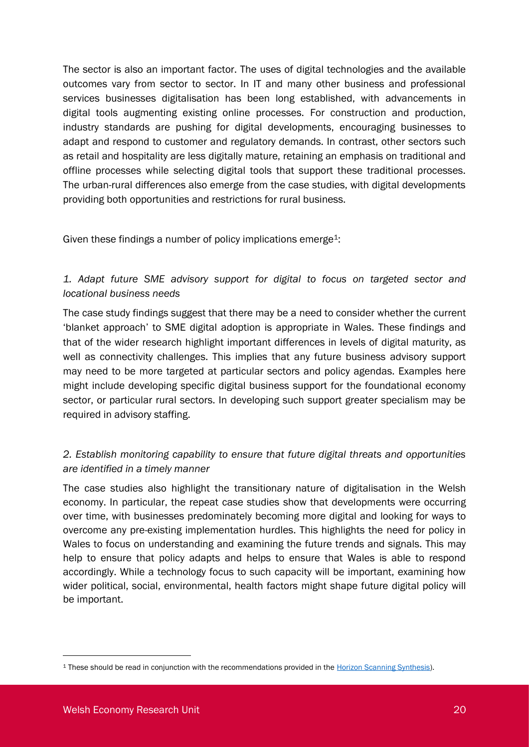The sector is also an important factor. The uses of digital technologies and the available outcomes vary from sector to sector. In IT and many other business and professional services businesses digitalisation has been long established, with advancements in digital tools augmenting existing online processes. For construction and production, industry standards are pushing for digital developments, encouraging businesses to adapt and respond to customer and regulatory demands. In contrast, other sectors such as retail and hospitality are less digitally mature, retaining an emphasis on traditional and offline processes while selecting digital tools that support these traditional processes. The urban-rural differences also emerge from the case studies, with digital developments providing both opportunities and restrictions for rural business.

Given these findings a number of policy implications emerge<sup>1</sup>:

### *1. Adapt future SME advisory support for digital to focus on targeted sector and locational business needs*

The case study findings suggest that there may be a need to consider whether the current 'blanket approach' to SME digital adoption is appropriate in Wales. These findings and that of the wider research highlight important differences in levels of digital maturity, as well as connectivity challenges. This implies that any future business advisory support may need to be more targeted at particular sectors and policy agendas. Examples here might include developing specific digital business support for the foundational economy sector, or particular rural sectors. In developing such support greater specialism may be required in advisory staffing.

### *2. Establish monitoring capability to ensure that future digital threats and opportunities are identified in a timely manner*

The case studies also highlight the transitionary nature of digitalisation in the Welsh economy. In particular, the repeat case studies show that developments were occurring over time, with businesses predominately becoming more digital and looking for ways to overcome any pre-existing implementation hurdles. This highlights the need for policy in Wales to focus on understanding and examining the future trends and signals. This may help to ensure that policy adapts and helps to ensure that Wales is able to respond accordingly. While a technology focus to such capacity will be important, examining how wider political, social, environmental, health factors might shape future digital policy will be important.

<sup>1</sup> These should be read in conjunction with the recommendations provided in the [Horizon Scanning Synthesis\)](https://www.cardiff.ac.uk/__data/assets/pdf_file/0006/2024997/Horizon-Scanning-Synthesis-Report-v2-final.pdf).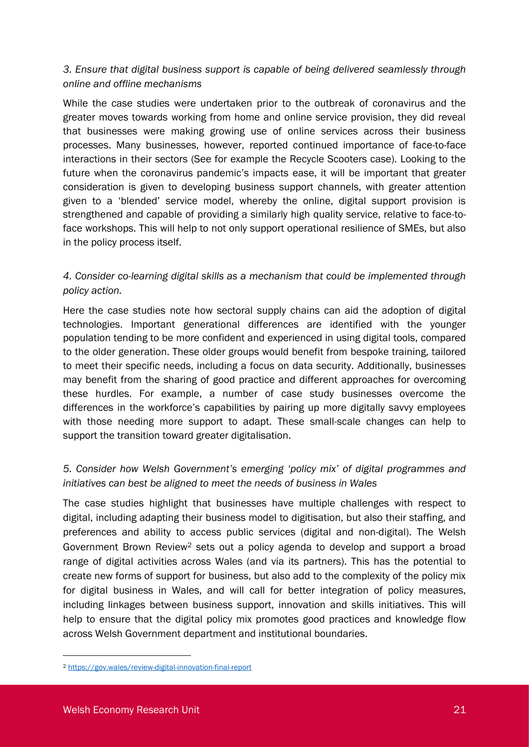### *3. Ensure that digital business support is capable of being delivered seamlessly through online and offline mechanisms*

While the case studies were undertaken prior to the outbreak of coronavirus and the greater moves towards working from home and online service provision, they did reveal that businesses were making growing use of online services across their business processes. Many businesses, however, reported continued importance of face-to-face interactions in their sectors (See for example the Recycle Scooters case). Looking to the future when the coronavirus pandemic's impacts ease, it will be important that greater consideration is given to developing business support channels, with greater attention given to a 'blended' service model, whereby the online, digital support provision is strengthened and capable of providing a similarly high quality service, relative to face-toface workshops. This will help to not only support operational resilience of SMEs, but also in the policy process itself.

### *4. Consider co-learning digital skills as a mechanism that could be implemented through policy action.*

Here the case studies note how sectoral supply chains can aid the adoption of digital technologies. Important generational differences are identified with the younger population tending to be more confident and experienced in using digital tools, compared to the older generation. These older groups would benefit from bespoke training, tailored to meet their specific needs, including a focus on data security. Additionally, businesses may benefit from the sharing of good practice and different approaches for overcoming these hurdles. For example, a number of case study businesses overcome the differences in the workforce's capabilities by pairing up more digitally savvy employees with those needing more support to adapt. These small-scale changes can help to support the transition toward greater digitalisation.

### *5. Consider how Welsh Government's emerging 'policy mix' of digital programmes and initiatives can best be aligned to meet the needs of business in Wales*

The case studies highlight that businesses have multiple challenges with respect to digital, including adapting their business model to digitisation, but also their staffing, and preferences and ability to access public services (digital and non-digital). The Welsh Government Brown Review<sup>2</sup> sets out a policy agenda to develop and support a broad range of digital activities across Wales (and via its partners). This has the potential to create new forms of support for business, but also add to the complexity of the policy mix for digital business in Wales, and will call for better integration of policy measures, including linkages between business support, innovation and skills initiatives. This will help to ensure that the digital policy mix promotes good practices and knowledge flow across Welsh Government department and institutional boundaries.

<sup>2</sup> <https://gov.wales/review-digital-innovation-final-report>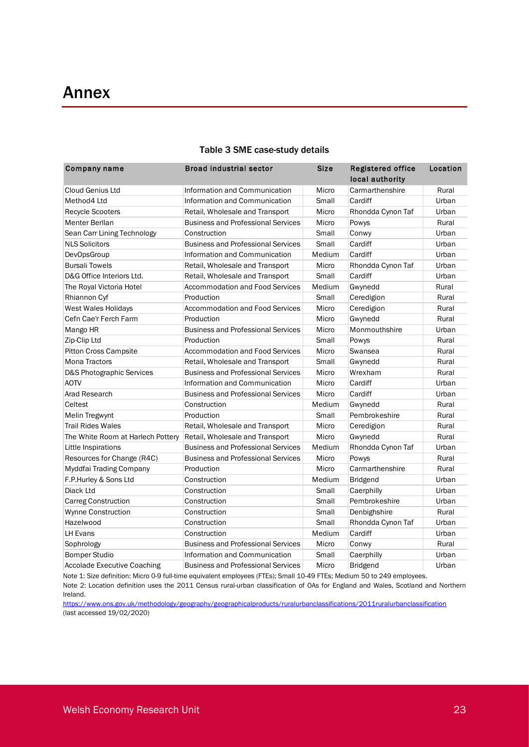| Company name                       | <b>Broad industrial sector</b>            | Size   | <b>Registered office</b><br>local authority | Location |
|------------------------------------|-------------------------------------------|--------|---------------------------------------------|----------|
| Cloud Genius Ltd                   | Information and Communication             | Micro  | Carmarthenshire                             | Rural    |
| Method4 Ltd                        | Information and Communication             | Small  | Cardiff                                     | Urban    |
| <b>Recycle Scooters</b>            | Retail, Wholesale and Transport           | Micro  | Rhondda Cynon Taf                           | Urban    |
| Menter Berllan                     | <b>Business and Professional Services</b> | Micro  | Powys                                       | Rural    |
| Sean Carr Lining Technology        | Construction                              | Small  | Conwy                                       | Urban    |
| <b>NLS Solicitors</b>              | <b>Business and Professional Services</b> | Small  | Cardiff                                     | Urban    |
| <b>DevOpsGroup</b>                 | Information and Communication             | Medium | Cardiff                                     | Urban    |
| <b>Bursali Towels</b>              | Retail, Wholesale and Transport           | Micro  | Rhondda Cynon Taf                           | Urban    |
| D&G Office Interiors Ltd.          | Retail, Wholesale and Transport           | Small  | Cardiff                                     | Urban    |
| The Royal Victoria Hotel           | <b>Accommodation and Food Services</b>    | Medium | Gwynedd                                     | Rural    |
| Rhiannon Cyf                       | Production                                | Small  | Ceredigion                                  | Rural    |
| West Wales Holidays                | Accommodation and Food Services           | Micro  | Ceredigion                                  | Rural    |
| Cefn Cae'r Ferch Farm              | Production                                | Micro  | Gwynedd                                     | Rural    |
| Mango HR                           | <b>Business and Professional Services</b> | Micro  | Monmouthshire                               | Urban    |
| Zip-Clip Ltd                       | Production                                | Small  | Powys                                       | Rural    |
| <b>Pitton Cross Campsite</b>       | Accommodation and Food Services           | Micro  | Swansea                                     | Rural    |
| <b>Mona Tractors</b>               | Retail, Wholesale and Transport           | Small  | Gwynedd                                     | Rural    |
| D&S Photographic Services          | <b>Business and Professional Services</b> | Micro  | Wrexham                                     | Rural    |
| <b>AOTV</b>                        | Information and Communication             | Micro  | Cardiff                                     | Urban    |
| Arad Research                      | <b>Business and Professional Services</b> | Micro  | Cardiff                                     | Urban    |
| Celtest                            | Construction                              | Medium | Gwynedd                                     | Rural    |
| Melin Tregwynt                     | Production                                | Small  | Pembrokeshire                               | Rural    |
| <b>Trail Rides Wales</b>           | Retail, Wholesale and Transport           | Micro  | Ceredigion                                  | Rural    |
| The White Room at Harlech Pottery  | Retail, Wholesale and Transport           | Micro  | Gwynedd                                     | Rural    |
| Little Inspirations                | <b>Business and Professional Services</b> | Medium | Rhondda Cynon Taf                           | Urban    |
| Resources for Change (R4C)         | <b>Business and Professional Services</b> | Micro  | Powys                                       | Rural    |
| Myddfai Trading Company            | Production                                | Micro  | Carmarthenshire                             | Rural    |
| F.P.Hurley & Sons Ltd              | Construction                              | Medium | <b>Bridgend</b>                             | Urban    |
| Diack Ltd                          | Construction                              | Small  | Caerphilly                                  | Urban    |
| <b>Carreg Construction</b>         | Construction                              | Small  | Pembrokeshire                               | Urban    |
| <b>Wynne Construction</b>          | Construction                              | Small  | Denbighshire                                | Rural    |
| Hazelwood                          | Construction                              | Small  | Rhondda Cynon Taf                           | Urban    |
| LH Evans                           | Construction                              | Medium | Cardiff                                     | Urban    |
| Sophrology                         | <b>Business and Professional Services</b> | Micro  | Conwy                                       | Rural    |
| <b>Bomper Studio</b>               | Information and Communication             | Small  | Caerphilly                                  | Urban    |
| <b>Accolade Executive Coaching</b> | <b>Business and Professional Services</b> | Micro  | <b>Bridgend</b>                             | Urban    |

#### Table 3 SME case-study details

Note 1: Size definition: Micro 0-9 full-time equivalent employees (FTEs); Small 10-49 FTEs; Medium 50 to 249 employees. Note 2: Location definition uses the 2011 Census rural-urban classification of OAs for England and Wales, Scotland and Northern Ireland.

<https://www.ons.gov.uk/methodology/geography/geographicalproducts/ruralurbanclassifications/2011ruralurbanclassification> (last accessed 19/02/2020)